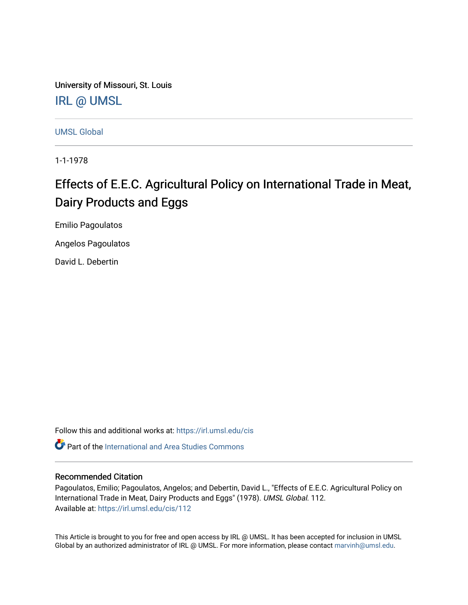University of Missouri, St. Louis [IRL @ UMSL](https://irl.umsl.edu/) 

[UMSL Global](https://irl.umsl.edu/cis)

1-1-1978

# Effects of E.E.C. Agricultural Policy on International Trade in Meat, Dairy Products and Eggs

Emilio Pagoulatos

Angelos Pagoulatos

David L. Debertin

Follow this and additional works at: [https://irl.umsl.edu/cis](https://irl.umsl.edu/cis?utm_source=irl.umsl.edu%2Fcis%2F112&utm_medium=PDF&utm_campaign=PDFCoverPages) 

**C** Part of the International and Area Studies Commons

# Recommended Citation

Pagoulatos, Emilio; Pagoulatos, Angelos; and Debertin, David L., "Effects of E.E.C. Agricultural Policy on International Trade in Meat, Dairy Products and Eggs" (1978). UMSL Global. 112. Available at: [https://irl.umsl.edu/cis/112](https://irl.umsl.edu/cis/112?utm_source=irl.umsl.edu%2Fcis%2F112&utm_medium=PDF&utm_campaign=PDFCoverPages)

This Article is brought to you for free and open access by IRL @ UMSL. It has been accepted for inclusion in UMSL Global by an authorized administrator of IRL @ UMSL. For more information, please contact [marvinh@umsl.edu](mailto:marvinh@umsl.edu).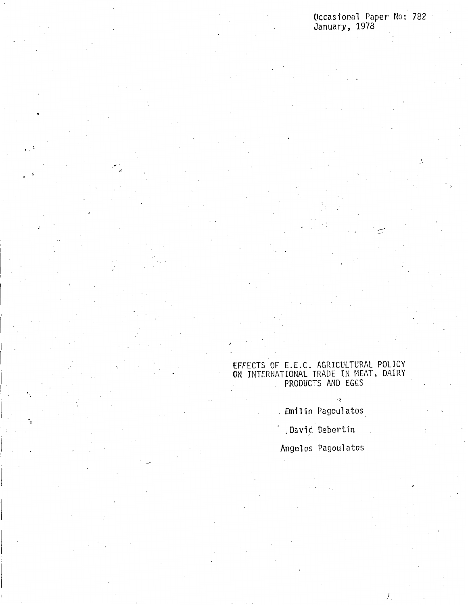Occasional Paper No: 782 January, 1978

## EFFECTS OF E.E.C. AGRICULTURAL POLICY **ON** INTERNATIONAL TRADE IN MEAT, DAIRY PRODUCTS AND EGGS

Emilio Pagoulatos

Š.

, David Debertin

Angelos Pagoulatos

*)*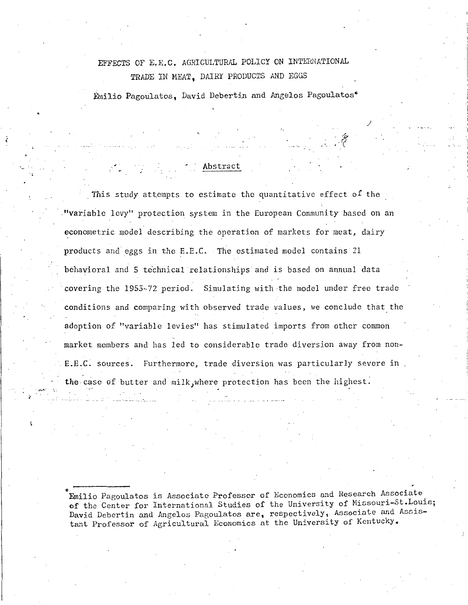# EFFECTS OF E.E.C. AGRICULTURAL POLICY ON INTERNATIONAL TRADE IN MEAT, DAIRY PRODUCTS AND EGGS

Emilio Pagoulatos, David Debertin and Angelos Pagoulatos\*

·'ff .,.(

*J* 

## Abstract

*,:* 

This study attempts to estimate the quantitative effect of the "variable levy" protection system in the European Community based on an econometric model describing the operation of markets for meat, dairy products and eggs in the E.E.C. The estimated model contains 21 behavioral and 5 te'chnical relationships and is based on annual data covering the 1953-72 period. Simulating with the model under free trade conditions and comparing with observed trade values, we conclude that the adoption of "variable levies'' has stimulated imports from other common market members and has led to considerable trade diversion away from non- E.E.C. sources. Furthermore, trade diversion was particularly severe in the case of butter and milk, where protection has been the highest.

Emilio Pagoulatos is Associate Professor of Economics and Research Associate **of** the Center for International Studies of the University of Missouri-St.Louis; **David** Debcrtin and Angelos Pagoulatos are, respectively, Associate and Assistant Professor of Agricultural Economics at the University of Kentucky.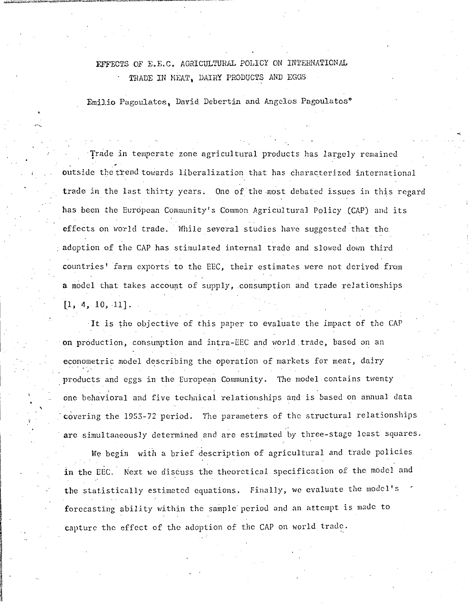# EFFECTS OF E.E.C. AGRICULTURAL POLICY ON INTERNATIONAL TRADE IN MEAT, DAIRY PRODUCTS AND EGGS

Emilio Pagoulatos, David Debertin and Angelos Pagoulatos\*

Trade in temperate zone agricultural products has largely remained outside the trend towards liberalization that has characterized international trade in the last thirty years. One of the most debated issues in this regard has been the European Community's Common Agricultural Policy (CAP) and its effects on world trade. While several studies have suggested that the adoption of the CAP has stimulated internal trade and slowed down third countries' farm exports to the EEC, their estimates were not derived from **a** model that takes account of supply, consumption and trade relationships  $[1, 4, 10, 11].$ 

·It is the objective of this paper to evaluate the impact of the CAP on production, consumption and intra-EEC and world.trade, based on an econometric model describing the operation of markets for meat, dairy products and eggs in the European Community. The model contains twenty one behavioral and five technical relationships and is based on annual data covering the 1953-72 period. The parameters of the structural relationships **are** simultaneously determined and are estimated by three-stage least squares.

We begin with a brief description of agricultural and trade policies in the EEC. Next we discuss the theoretical specification of the model and the statistically estimated equations. Finally, we evaluate the model's forecasting ability within the sample period and an attempt is made to capture the effect of the adoption of the CAP on world trade.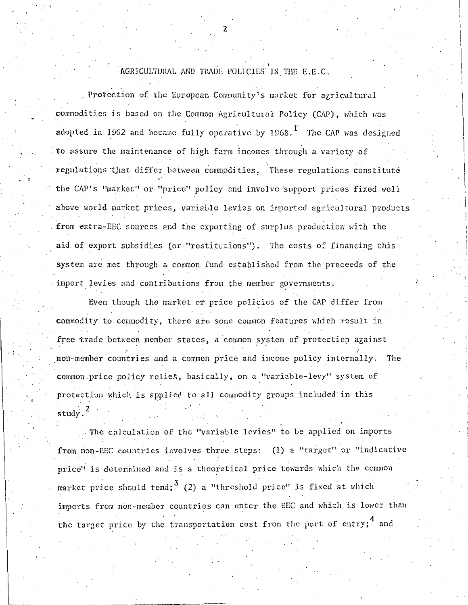AGRICULTURAL AND TRADE POLICIES IN THE E.E.C.

Protection of the European Community's market for agricultural commodities is based on the Common Agricultural Policy (CAP), which was adopted in 1962 and became fully operative by 1968.<sup>1</sup> The CAP was designed **to** assure the maintenance of high farm incoincs through a variety of regulations that differ between commodities. These regulations constitute the CAP's "market" or "price" policy and involve support prices fixed well above world market prices, variable levies on imported agricultural products from extra-EEC sources and the exporting of surplus production with the aid of export subsidies (or "restitutions"). The costs of financing this system are met through a common fund established from the proceeds of the import levies and-contributions from the member governments.

Even though the market or price policies of the CAP differ from commodity to commodity, there are some common features which result in free trade between member states, a common system of protection against non-member countries and a common price and income policy internally. The common price policy relies, basically, on a "variable-levy" system of protection which is applied to all commodity groups included in this  $\text{study.}^2$ .

The calculation of the "variable levies" to be applied on imports from non-EEC countries involves three steps: (1) a "target" or "indicative price" is determined and is a theoretical price towards which the common market price should tend;  $3(2)$  a "threshold price" is fixed at which imports from non-member countries can enter the EEC and which is lower than the target price by the transportation cost from the port of entry;<sup>4</sup> and

2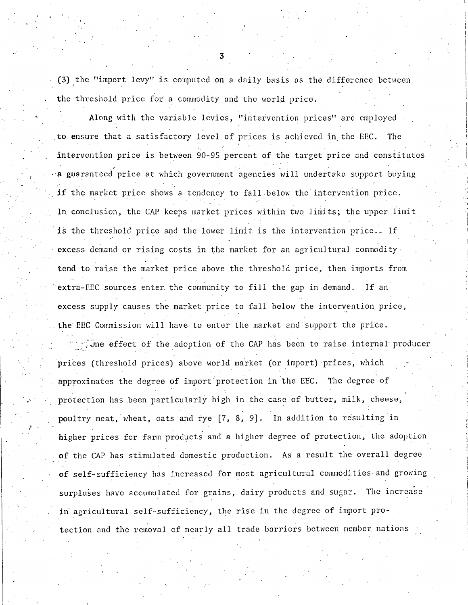$(3)$  the "import levy" is computed on a daily basis as the difference between the threshold price for a commodity and the world price.

Along with the variable levies, "intervention prices" are employed **.to** ensure that a satisfactory level of prices is achieved in the EEC. The intervention price is between 90-95 percent of the target price and constitutes a guaranteed price at which government agencies will undertake support buying if the market price shows a tendency to fall below the intervention price. In conclusion; the CAP keeps market prices within two limits; the upper limit is the threshold price and the lower limit is the intervention price.. If excess demand or rising costs in the market for an agricultural commodity tend to raise the market price above the threshold price, then imports from extra-EEC sources enter the community to fill the gap in demand. If an excess supply causes the market price to fall below the intervention price, . the EEC Commission will have to enter the market and·support the price.

The effect of the adoption of the CAP has been to raise internal producer prices (threshold prices) above world market (or import) prices, which approximates the degree of import protection in the EEC. The degree of protection has been particularly high in the case of butter, milk, cheese, poultry meat, wheat, oats and rye  $[7, 8, 9]$ . In addition to resulting in higher prices for farm products and a higher degree of protection, the adoption of the CAP has stimulated domestic production. As a result the overall degree of self-sufficiency has increased for most agricultural commodities.and growing surpluses have accumulated for grains, dairy products and sugar. The increase in agricultural self-sufficiency, the rise in the degree of import protection and the removal of nearly all trade barriers between member nations

3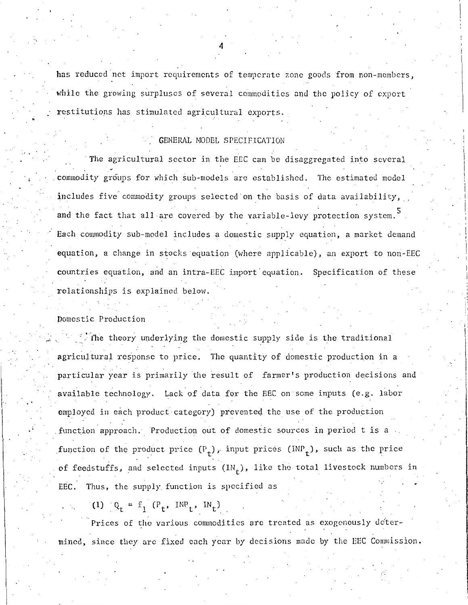has reduced net import requirements of temperate zone goods from non-members, while the growing surpluses of several commodities and the policy of export restitutiops has stimulated agricultural exports.

### GENERAL MODEL SPECIFICATION

The agricultural sector in the EEC can be disaggregated into several commodity groups for which sub-models are established. The estimated model includes five commodity groups selected on the basis of data availability, and the fact that all are covered by the variable-levy protection system.<sup>5</sup> Each commodity sub-model includes a domestic supply equation, a market demand equation, a change in stocks equation (where applicable), an export to non-EEC countries equation, and an intra-EEC import equation. Specification of these relationships is explained below.

#### Domestic Production

•.

. The theory underlying the domestic supply side is the traditional agricultural response to price. The quantity of domestic production in a particular year is primarily the result of farmer's production decisions and available technology. Lack of data for the EEC on some inputs (e.g. labor employed in each product category) prevented the use of the production function approach. Production out of domestic sources in period t is a function of the product price  $(P_+)$ , input prices  $(\text{IMP}_+)$ , such as the price of feedstuffs, and selected inputs  $(\text{IN}_+)$ , like the total livestock numbers in EEC. Thus, the supply function is specified as

(1)  $Q_t = f_1(P_t, NP_t, IN_t)$ 

Prices of the various commodities are treated as exogenously determined, since they are fixed each year by decisions made by the EEC Commission.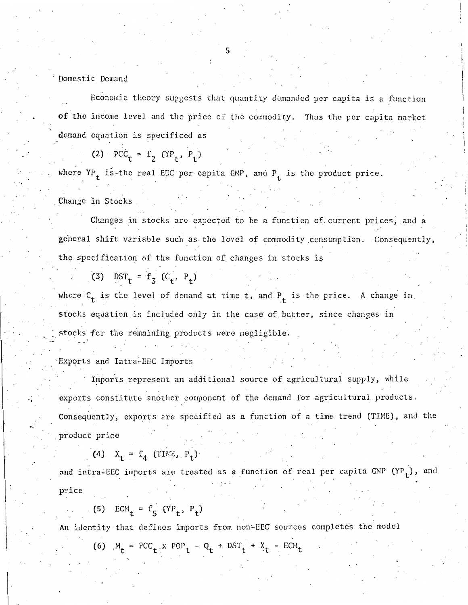#### Domestic Demand

Economic theory suggests that quantity demanded per capita is a function of the income level and the price of the commodity. Thus the per capita market demand equation is specificed as

$$
(2) \quad \text{PCC}_{t} = f_2 \quad (\text{YP}_{t}, \text{ P}_{t})
$$

where  $YP_t$  is-the real EEC per capita GNP, and  $P_t$  is the product price.

Change in Stocks

.,

Changes in stocks are expected to be a function of current prices, and a general shift variable such as the level of commodity consumption. Consequently, **the** specification of the function of changes in stocks is

$$
(3) \quad \text{DST}_{t} = f_3 \ (C_t, P_t)
$$

where  $C_t$  is the level of demand at time t, and  $P_t$  is the price. A change in. stocks equation. is included only in the case of. butter, since changes in stocks for the remaining products were negligible.

Exports and Intra-EEC Imports

Imports represent an additional source of agricultural supply, while exports constitute another component of the demand for agricultural products. Consequently, exports are specified as a function of a time trend (TIME), and the . product price

$$
(4) \quad X_t = f_4 \quad (\text{TIME}, P_t)
$$

and intra-EEC imports are treated as a function of real per capita GNP  $(YP_t)$ , and price

-l

(5) ECM<sub>t</sub> = f<sub>5</sub> (YP<sub>t</sub>, P<sub>t</sub>)

An identity that defines imports from non-EEC sources completes the model

(6)  $M_t = PCC_t \cdot x POP_t - Q_t + DST_t + X_t - ECM_t$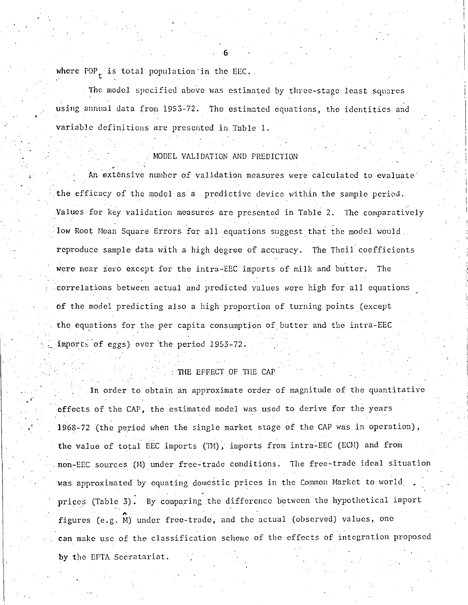where POP<sub>t</sub> is total population in the EEC.

The model specified above was estimated by three-stage least squares using annual data from 19S3-72. The estimated equations, the identities and variable definitions are presented in Table 1.

-6

## MODEL VALIDATION AND PREDICTION

An extensive number of validation measures were calculated to evaluate the efficacy of the model as a predictive device within the sample period. Values for key validation measures are presented in Table 2. The comparatively low Root Mean Square Errors for all equations suggest that the model would. reproduce sample data with a high degree of accuracy. The Theil coefficients were near zero except for the intra-EEC imports of milk and butter. The correlations between actual and predicted values were high for all equations of the model predicting also a high proportion of turning points (except the equations for the per capita consumption of butter and the intra-EEC imports of eggs) over the period 1953-72.

# THE EFFECT OF THE CAP

In order to obtain an approximate order of magnitude of the quantitative effects of the CAP, the estimated model was used to derive for the years 1968-72 (the period when the single market stage of the CAP was in operation), the value of total EEC imports (TM), imports from intra-EEC (ECM) and from non-EEC sources (M) under free-trade conditions. The free-trade ideal situation was approximated by equating domestic prices in the Common Market to world prices (Table 3). By comparing the difference between the hypothetical import figures (e.g. M) under free-trade, and the actual (observed) values, one **can** make use of the classification scheme of the effects of integration proposed by the EFTA Secratariat.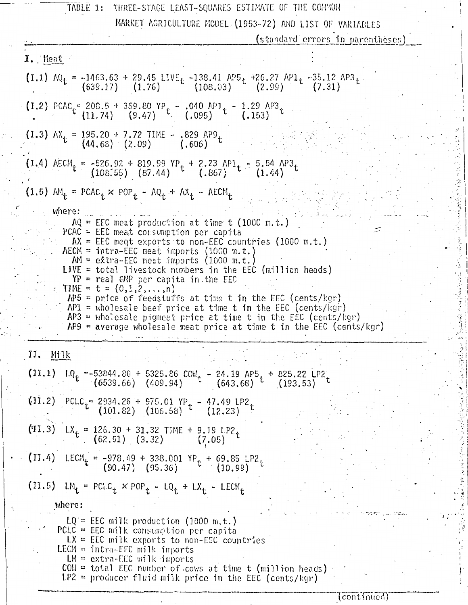| MARKET AGRICULTURE MODEL (1953-72) AND LIST OF VARIABLES                                                                                                                                                                                                                                                                                                                                                                                                                                                                                                                                                                                                                            |  |
|-------------------------------------------------------------------------------------------------------------------------------------------------------------------------------------------------------------------------------------------------------------------------------------------------------------------------------------------------------------------------------------------------------------------------------------------------------------------------------------------------------------------------------------------------------------------------------------------------------------------------------------------------------------------------------------|--|
| (standard errors in parentheses)                                                                                                                                                                                                                                                                                                                                                                                                                                                                                                                                                                                                                                                    |  |
| $1.$ Heat                                                                                                                                                                                                                                                                                                                                                                                                                                                                                                                                                                                                                                                                           |  |
| (I.1) $AQ_t = -1463.63 + 29.45$ LIVE <sub>t</sub> $-138.41$ AP5 <sub>t</sub> $+26.27$ AP1 <sub>t</sub> $-35.12$ AP3 <sub>t</sub> (639.17) (1.76) (108.03) (2.99) (7.31)                                                                                                                                                                                                                                                                                                                                                                                                                                                                                                             |  |
| (I.2) PCAC <sub>t</sub> = 208.5 + 369.80 YP <sub>t</sub> - .040 AP1 <sub>t</sub> - 1.29 AP3 <sub>t</sub><br>(11.74) (9.47) (9.95) t (.153)                                                                                                                                                                                                                                                                                                                                                                                                                                                                                                                                          |  |
| (1.3) $AX_t = 195.20 + 7.72$ TIME - .829 AP9 t<br>(44.68) (2.09) (.606)                                                                                                                                                                                                                                                                                                                                                                                                                                                                                                                                                                                                             |  |
| (I.4) AECM <sub>t</sub> = -526.92 + 819.99 YP <sub>t</sub> + 2.23 AP1 <sub>t</sub> - 5.54 AP3 <sub>t</sub><br>(108.55) (87.44) (.867) (.864)                                                                                                                                                                                                                                                                                                                                                                                                                                                                                                                                        |  |
| (1.5) $AM_t = PCAC_t \times POP_t - AQ_t + AX_t - AECM_t$                                                                                                                                                                                                                                                                                                                                                                                                                                                                                                                                                                                                                           |  |
| where:<br>$AQ = EEC$ meat production at time t (1000 m.t.)<br>PCAC = EEC meat consumption per capita<br>$AX = EEC$ meqt exports to non-EEC countries (1000 m.t.)<br>$AECM = intra-EEC$ meat imports (1000 m.t.)<br>$AM = e\times tra-EEC$ meat imports (1000 m.t.)<br>LIVE = total livestock numbers in the EEC (million heads)<br>$YP$ = real GNP per capita in the EEC<br>. TIME = $t = (0,1,2,,n)$<br>$AP5$ = price of feedstuffs at time t in the EEC (cents/kgr)<br>$AP1$ = wholesale beef price at time t in the EEC (cents/kgr)<br>$AP3$ = wholesale pigmeat price at time t in the EEC (cents/kgr)<br>$AP9$ = average wholesale meat price at time t in the EEC (cents/kgr) |  |
| II. Milk                                                                                                                                                                                                                                                                                                                                                                                                                                                                                                                                                                                                                                                                            |  |
| (II.1) $LQ_t = -53844.80 + 5325.86 \text{ COW}_t - 24.19 \text{ AP5}_t + 825.22 \text{ LP2}_t$<br>(6539.66) (409.94) $t = (643.68)$ (193.53)                                                                                                                                                                                                                                                                                                                                                                                                                                                                                                                                        |  |
| (11.2) PCLC <sub>t</sub> = 2934.26 + 975.01 YP <sub>t</sub> - 47.49 LP2 <sub>t</sub><br>(101.82) (106.58) <sup>t</sup> (12.23)                                                                                                                                                                                                                                                                                                                                                                                                                                                                                                                                                      |  |
| (II.3) $LX_t = 126.30 + 31.32$ TIME + 9.19 LP2<br>(62.51) (3.32) (7.05)                                                                                                                                                                                                                                                                                                                                                                                                                                                                                                                                                                                                             |  |
| (II.4) LECM <sub>t</sub> = -978.49 + 338.001 YP <sub>t</sub> + 69.85 LP2 <sub>t</sub><br>(90.47) (95.36) t (10.99)                                                                                                                                                                                                                                                                                                                                                                                                                                                                                                                                                                  |  |
| $(11.5)$ LM <sub>t</sub> = PCLC <sub>t</sub> × POP <sub>t</sub> - LQ <sub>t</sub> + LX <sub>t</sub> - LECM <sub>t</sub>                                                                                                                                                                                                                                                                                                                                                                                                                                                                                                                                                             |  |
| where:                                                                                                                                                                                                                                                                                                                                                                                                                                                                                                                                                                                                                                                                              |  |
| $LQ = EEC$ milk production (1000 m.t.)<br>PCLC = EEC milk consumption per capita<br>$LX = EEC$ milk exports to non-EEC countries<br>LECM = intra-EEC milk imports<br>$LM = extra-EEC$ milk imports<br>$COW = total$ EEC number of cows at time t (million heads)<br>$LP2 =$ producer fluid milk price in the EEC (cents/kgr)                                                                                                                                                                                                                                                                                                                                                        |  |

 $\ddot{\phantom{0}}$ 

 $\ddot{\phantom{a}}_i$ 

 $($ continued)

 $\begin{bmatrix} 2 \\ 3 \\ 1 \end{bmatrix}$ 

1

. . ¥,

 $\left| \begin{array}{c} 1 \\ 1 \end{array} \right|$ 

 $\mathbb{R}$  ]

 $\ddot{\text{a}}$  I  $\mathbb{N}$  :

 $\frac{1}{2}$ 

 $\ddot{\phantom{a}}$ 

 $\ddot{\cdot}$  $\ddot{\cdot}$ 

 $\mathbf{r}$ 

 $\cdot$  ,  $\cdot$   $\cdot$   $\cdot$   $\cdot$   $\cdot$ 

 $\cdot$   $\frac{1}{2}$   $\cdot$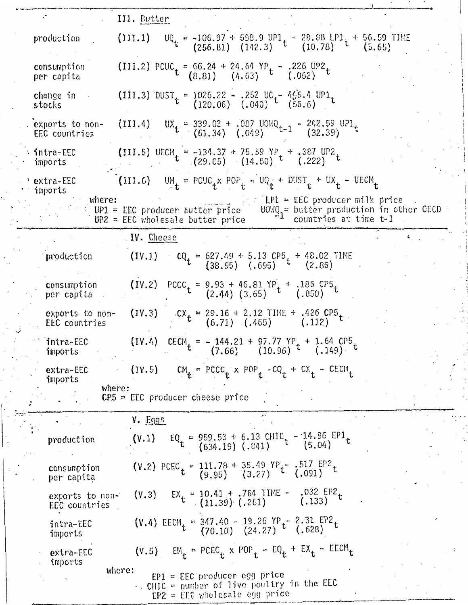|                                         | III. Butter                                                                                                                                                                       |
|-----------------------------------------|-----------------------------------------------------------------------------------------------------------------------------------------------------------------------------------|
| production                              | (III.1)                                                                                                                                                                           |
|                                         | $UQ_t = -106.97 + 598.9 \text{ UPI}_t - 28.88 \text{ LPI}_t + 56.59 \text{ TIME}$<br>(256.81) (142.3) $t = (10.78)$ (5.65)                                                        |
| consumption<br>per capita               | (III.2) PCUC <sub>t</sub> = 66.24 + 24.64 YP <sub>t</sub> - .226 UP2 <sub>t</sub><br>(8.81) (4.63) (.062)                                                                         |
| change in<br>stocks                     | (III.3) DUST $t = 1026.22 - .252$ UC $t = 466.4$ UP1<br>(120.06) (.040) $t = (56.6)$                                                                                              |
| exports to non-<br><b>EEC countries</b> | UX <sub>t</sub> = 339.02 + .087 UOWQ <sub>t-1</sub> - 242.59 UP1<br>(61.34) (.049) t-1 (32.39)<br>(111.4)                                                                         |
| intra-EEC<br>imports                    | (III.5) UECM = -134.37 + 75.59 YP + .387 UP2<br>(29.05) (14.50) <sup>t</sup> (.222)                                                                                               |
| extra-EEC<br>imports                    | $U_M$ = PCUC <sub>1</sub> x POP <sub>1</sub> - UQ <sub>1</sub> + DUST <sub>1</sub> + UX <sub>1</sub> - UECM <sub>1</sub><br>(111.6)                                               |
| where:                                  | $LP1 = EEC$ producer milk price<br>$UOWQ_1 =$ butter production in other CECD<br>$UP1 = EEC$ producer butter price<br>countries at time t-1<br>$UP2 = EEC$ wholesale butter price |
|                                         | W. Cheese                                                                                                                                                                         |
| production                              | $CQ_t = 627.49 + 5.13 CP5 + 48.02 TIME$<br>(38.95) (.695) $t$ (2.86)<br>(IV.1)                                                                                                    |
| consumption<br>per capita               | (IV.2) PCCC = 9.93 + 46.81 YP + .186 CP5 t<br>(2.44) (3.65) t<br>(.050)                                                                                                           |
| exports to non-<br>EEC countries        | $\mathcal{C}X_t = 29.16 + 2.12$ TIME + .426 CP5<br>(6.71) (.465) (.112)<br>(IV.3)                                                                                                 |
| intra-EEC<br>imports                    | (IV.4) CECM = - 144.21 + 97.77 YP + 1.64 CP5 t<br>(7.66) (10.96) t<br>(.149)                                                                                                      |
| extra-EEC<br>imports                    | $CM_t$ = PCCC <sub>t</sub> x POP <sub>t</sub> -CQ <sub>t</sub> + CX <sub>t</sub> - CECM <sub>t</sub><br>(IV.5)                                                                    |
| where:                                  | $CP5 = EEC$ producer cheese price                                                                                                                                                 |
|                                         | <b>Y.</b> Eggs                                                                                                                                                                    |
| production                              | $EQ_t = 959.53 + 6.13 \text{ CHIC}_t - 14.96 \text{ EP1}_t$<br>(634.19) (.841) (5.04)<br>(V.1)                                                                                    |
| consumption<br>per capita               | (V.2) PCEC $t = 111.78 + 35.49$ YP $t^-.517$ EP2 $t$<br>(9.95) (3.27) $t^-.691$                                                                                                   |
| exports to non-<br>EEC countries        | .032 EP2 t<br>(.133)<br>$EX_t = 10.41 + .764$ TIME -<br>(11.39) (.261)<br>(Y,3)                                                                                                   |
| intra-EEC<br>imports                    | (V.4) EECM = 347.40 - 19.26 YP t <sup>-</sup> 2.31 EP2 t<br>(70.10) (24.27) t<br>(.628)                                                                                           |
| extra-EEC<br>imports                    | $EM_t$ = PCEC <sub>t</sub> x POP <sub>t</sub> - EQ <sub>t</sub> + EX <sub>t</sub> - EECM <sub>t</sub><br>(Y.5)                                                                    |
|                                         | where:<br>$EP1 = EEC$ producer egg price<br>$\cdot$ . CHIC = number of live poultry in the EEC<br>$EP2 = EEC$ wholesale egg price                                                 |

 $\ddot{\cdot}$ 

 $\frac{1}{2}$ 

 $\dddot{\cdot}$ 

 $\ddot{\phantom{a}}$ 

 $\frac{1}{2}$ 

 $\begin{bmatrix} 1 & 1 \\ 1 & 1 \\ 1 & 1 \end{bmatrix}$ 

 $\overline{\phantom{a}}$ 

医大豆 医大头

 $\overline{\cdot}$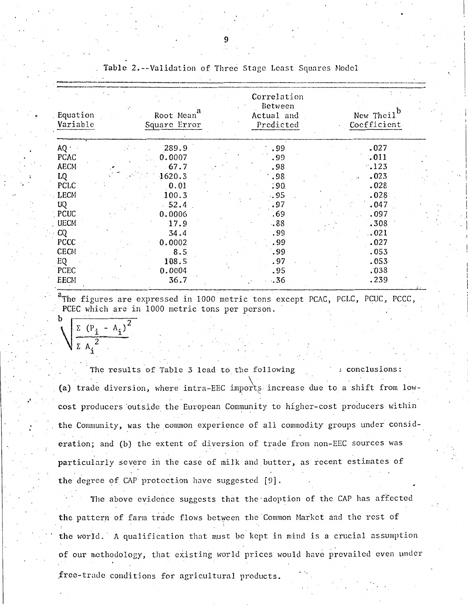| Equation<br>Root Mean<br>Variable<br>Square Error | a | Correlation<br>Between<br>Actual and<br>Predicted | New Theil <sup>b</sup><br>Coefficient |
|---------------------------------------------------|---|---------------------------------------------------|---------------------------------------|
| AQ:<br>289.9                                      |   | .99                                               | .027                                  |
| PCAC<br>0.0007                                    |   | .99                                               | .011                                  |
| <b>AECM</b><br>$-67.7$                            |   | .98                                               | .123                                  |
| LQ<br>1620.3                                      |   | .98                                               | .023                                  |
| <b>PCLC</b><br>0.01                               |   | .90.                                              | .028                                  |
| <b>LECM</b><br>100.3                              |   | .95                                               | .028                                  |
| $-52.4$<br>UQ                                     |   | .97                                               | .047                                  |
| $\Gamma$ PCUC<br>0.0006                           |   | .69                                               | .097                                  |
| <b>UECM</b><br>17.9                               |   | .88                                               | .308                                  |
| CQ<br>34.4                                        |   | .99                                               | .021                                  |
| PCCC<br>0.0002                                    |   | .99                                               | .027                                  |
| <b>CECM</b><br>8.5                                |   | .99                                               | .053                                  |
| EQ<br>108.5                                       |   | .97                                               | .053                                  |
| PCEC<br>0.0004                                    |   | .95                                               | .038                                  |
| EECM<br>36.7                                      |   | .36                                               | .239                                  |

Table 2.--Validation of Three Stage Least Squares Model

The figures are expressed in 1000 metric tons except PCAC, PCLC, PCUC, PCCC, PCEC which are in 1000 metric tons per person.

Σ  $(P_i - A_i)^2$ 

The results of Table 3 lead to the following conclusions: (a) trade diversion, where intra-EEC imports increase due to a shift from lowcost producers outside the European Community to higher-cost producers within the Community, was the common experience of all commodity groups under consideration; and (b) the extent of diversion of trade from non-EEC sources was particularly severe in the case of milk and butter, as recent estimates of the degree of CAP protection have suggested [9].

The above evidence suggests that the adoption of the CAP has affected the pattern of farm trade flows between the Common Market and the rest of the world. A qualification that must be kept in mind is a crucial assumption of our methodology, that existing world prices would have prevailed even under free-trade conditions for agricultural products.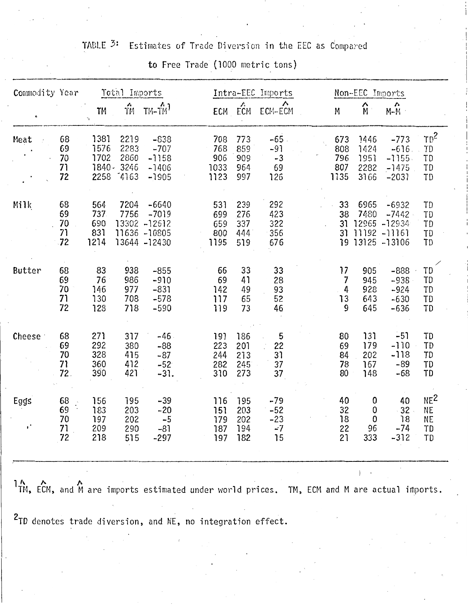# TABLE <sup>3:</sup> Estimates of Trade Diversion in the EEC as Compared

|  |  |  |  | to Free Trade (1000 metric tons) |  |
|--|--|--|--|----------------------------------|--|
|--|--|--|--|----------------------------------|--|

| Commodity Year         |                               | Total Imports                            |                                       |                                                                     | Intra-EEC Imports                 |                                 |                                       |  | Non-EEC Imports                  |                                      |                                                                        |                                                       |
|------------------------|-------------------------------|------------------------------------------|---------------------------------------|---------------------------------------------------------------------|-----------------------------------|---------------------------------|---------------------------------------|--|----------------------------------|--------------------------------------|------------------------------------------------------------------------|-------------------------------------------------------|
|                        |                               | TM<br>V                                  | $\hat{\vec{m}}$                       | $TM-TM$                                                             |                                   | ۸.<br>ECM ECM                   | Λ<br>ECM-ECM                          |  | M                                | $\hat{\mathsf{M}}$                   | $\boldsymbol{\mathsf{\Lambda}}$<br>$M-M$                               |                                                       |
| Meat                   | 68<br>69<br>70<br>71<br>72    | 1381<br>1576<br>1702<br>$1840 -$<br>2258 | 2219<br>2283<br>2860<br>3246<br>74163 | $-838$<br>$-707$<br>$-1158$<br>$-1406$<br>$-1905$                   | 708<br>768<br>906<br>1033<br>1123 | 773<br>859<br>909<br>964<br>997 | $-65$ .<br>$-91$<br>$-3$<br>69<br>126 |  | 673<br>808<br>796<br>807<br>1135 | 1446<br>1424<br>1951<br>2282<br>3166 | $-773$<br>$-616$<br>$-1155$<br>$-1475$<br>$-2031$                      | $TD^2$<br>TD<br>TD<br>TD<br>TD                        |
| Milk                   | 68<br>69<br>70<br>71<br>$-72$ | 564<br>737<br>690<br>831<br>1214         | 7204<br>7756                          | $-6640$<br>$-7019$<br>13302 -12612<br>11636 -10805<br>13644 - 12430 | 531<br>699<br>659<br>800<br>1195  | 239<br>276<br>337<br>444<br>519 | 292<br>423<br>322<br>356<br>676       |  | 33<br>38<br>31<br>31             | 6965<br>7480                         | $-6932$<br>$-7442$<br>12965 - 12934<br>11192 -11161<br>19 13125 -13106 | TD<br>TD<br>TD<br>TD<br>TD                            |
| Butter                 | 68<br>69<br>70<br>71<br>72    | 83<br>76<br>146<br>130<br>128            | 938<br>986<br>977<br>708<br>718       | $-855$<br>$-910$<br>$-831$<br>$-578$<br>$-590$                      | 66<br>69<br>142<br>117<br>119     | 33<br>41<br>49<br>65<br>73      | 33<br>28<br>93<br>52<br>46            |  | 17<br>7<br>4<br>13<br>9          | 905<br>945<br>928<br>643<br>645      | $-888$<br>$-938$<br>$-924$<br>$-630$<br>$-636$                         | TD<br>TD<br>TD<br>TD<br>TD                            |
| Cheese :               | 68<br>69<br>70<br>71<br>72.   | 271<br>292<br>328<br>360<br>390          | 317<br>380<br>415<br>412<br>421       | -46<br>$-88$<br>$-87$<br>$-52$<br>$-31.$                            | 191<br>223<br>244<br>282<br>310   | 186<br>201<br>213<br>245<br>273 | 5<br>22<br>31<br>37<br>37             |  | 80<br>69<br>84<br>78<br>80       | 131<br>179<br>202<br>167<br>148      | $-51$<br>$-110$<br>$-118$<br>$-89$<br>$-68$                            | TD<br>TD<br>TD<br>TD<br>TD                            |
| Eggs<br>$\mathbf{r}^*$ | 68<br>69<br>70<br>71<br>72    | 156<br>183<br>197<br>209<br>218          | 195<br>203<br>202<br>290<br>515       | $-39$<br>$-20$<br>$-5$<br>$-81$<br>$-297$                           | 116<br>151<br>179<br>187<br>197   | 195<br>203<br>202<br>194<br>182 | $-79$<br>$-52$<br>$-23$<br>$-7$<br>15 |  | 40<br>32<br>18<br>22<br>21       | 0<br>0<br>0<br>96<br>333             | 40<br>$-32$<br>18<br>$-74$<br>$-312$                                   | NE <sup>2</sup><br><b>NE</b><br><b>NE</b><br>TD<br>TD |

1 11,1, EtM, and~ are imports estimated under world prices. TM, ECM and M are actual irilports.

 $\mathbf{I}$  .

2TD denotes trade diversion, and NE, no integration effect.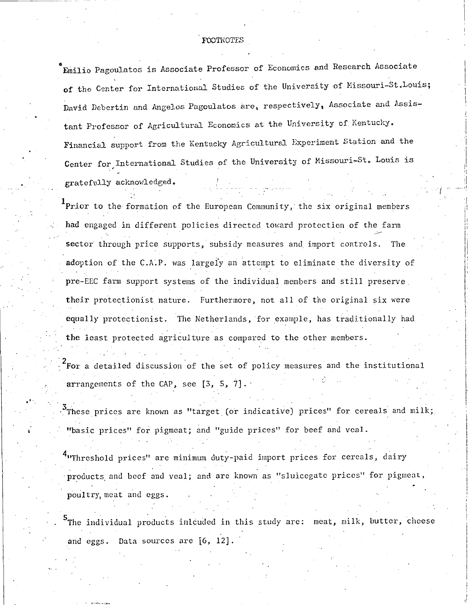#### FOOTNOTES

Emilio Pagoulatos is Associate Professor of Economics and Research Associate of the Center for International Studies of the University of Missouri-St.Louis; David Debertin and Angelos Pagoulatos are, respectively, Associate and Assistant Professor of Agricultural Economics at the University of Kentucky. Financial support from the Kentucky Agricultural Experiment Station and the Center for International Studies of the University of Missouri-St. Louis is gratefully acknowledged.

 $\mathbf{1}_{\texttt{Prior}}$  to the formation of the European Community, the six original members had engaged in different policies directed toward protection of the farm sector through price supports, subsidy measures and import controls. The adoption of the C.A.P. was largely an attempt to eliminate the diversity of pre-EEC farm support systems of the individual members and still preserve their protectionist nature. Furthermore, not all of the original six were equally protectionist. The Netherlands, for example, has traditionally had the least protected agriculture as compared to the other members.

For a detailed discussion of the set of policy measures and the institutional arrangements of the CAP, see [3, 5, 7].

These prices are known as "target (or indicative) prices" for cereals and milk; "basic prices" for pigmeat; and "guide prices" for beef and veal.

"Threshold prices" are minimum duty-paid import prices for cereals, dairy products and beef and veal; and are known as "sluicegate prices" for pigmeat, poultry meat and eggs.

The individual products inlouded in this study are: meat, milk, butter, cheese and eggs. Data sources are [6, 12].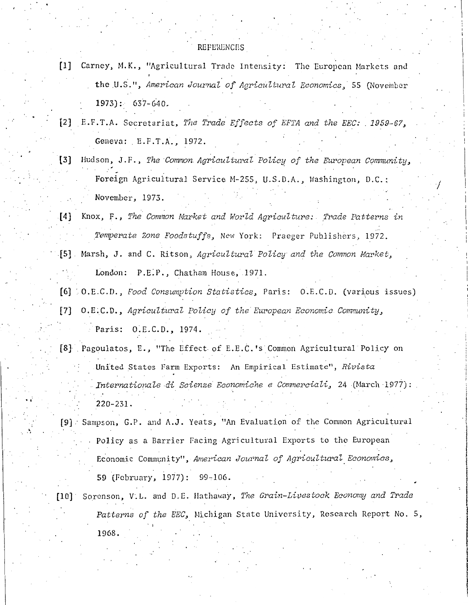- [1] Carney, M.K., "Agricultural Trade Intensity: The European Markets and the U.S.", American Journal of Agricultural Economics, 55 (November  $1973$ : 637-640.
- [2] E.F.T.A. Secretariat, The Trade Effects of EFTA and the EEC: 1959-67, Geneva: E.F.T.A., 1972.
- [3] Hudson, J.F., The Common Agricultural Policy of the European Community, Foreign Agricultural Service M-255, U.S.D.A., Washington, D.C.: November, 1973.
- Knox, F., The Common Market and World Agriculture: Trade Patterns in  $[4]$ Temperate Zone Foodstuffs, New York: Praeger Publishers, 1972.
- [5] Marsh, J. and C. Ritson, Agricultural Policy and the Common Market, London: P.E.P., Chatham House, 1971.
- [6] (O.E.C.D., Food Consumption Statistics, Paris: O.E.C.D. (various issues)
- O.E.C.D., Agricultural Policy of the European Economic Community,  $\lceil 7 \rceil$ Paris: O.E.C.D., 1974.
- [8] Pagoulatos, E., "The Effect of E.E.C.'s Common Agricultural Policy on United States Farm Exports: An Empirical Estimate", Rivista Internationale di Scienze Economiche e Commerciali, 24 (March 1977):  $220 - 231.$
- [9] Sampson, G.P. and A.J. Yeats, "An Evaluation of the Common Agricultural Policy as a Barrier Facing Agricultural Exports to the European Economic Community", American Journal of Agricultural Economics, 59 (February, 1977): 99-106.
- Sorenson, V.L. and D.E. Hathaway, The Grain-Livestock Economy and Trade  $[10]$ Patterns of the EEC, Michigan State University, Research Report No. 5, 1968.